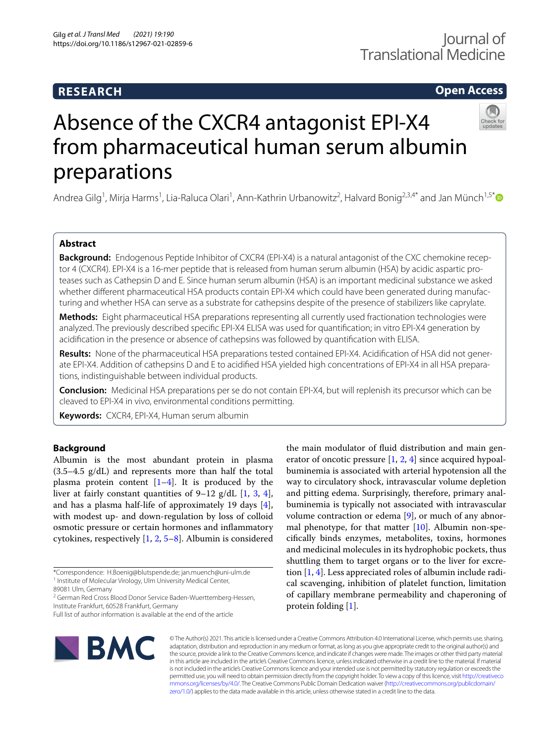## **RESEARCH**

# **Open Access**



# Absence of the CXCR4 antagonist EPI-X4 from pharmaceutical human serum albumin preparations

Andrea Gilg<sup>1</sup>, Mirja Harms<sup>1</sup>, Lia-Raluca Olari<sup>1</sup>, Ann-Kathrin Urbanowitz<sup>2</sup>, Halvard Bonig<sup>2,3,4[\\*](http://orcid.org/0000-0001-7316-7141)</sup> and Jan Münch<sup>1,5\*</sup>

## **Abstract**

**Background:** Endogenous Peptide Inhibitor of CXCR4 (EPI-X4) is a natural antagonist of the CXC chemokine receptor 4 (CXCR4). EPI-X4 is a 16-mer peptide that is released from human serum albumin (HSA) by acidic aspartic proteases such as Cathepsin D and E. Since human serum albumin (HSA) is an important medicinal substance we asked whether different pharmaceutical HSA products contain EPI-X4 which could have been generated during manufacturing and whether HSA can serve as a substrate for cathepsins despite of the presence of stabilizers like caprylate.

**Methods:** Eight pharmaceutical HSA preparations representing all currently used fractionation technologies were analyzed. The previously described specifc EPI-X4 ELISA was used for quantifcation; in vitro EPI-X4 generation by acidifcation in the presence or absence of cathepsins was followed by quantifcation with ELISA.

**Results:** None of the pharmaceutical HSA preparations tested contained EPI-X4. Acidifcation of HSA did not gener‑ ate EPI-X4. Addition of cathepsins D and E to acidified HSA yielded high concentrations of EPI-X4 in all HSA preparations, indistinguishable between individual products.

**Conclusion:** Medicinal HSA preparations per se do not contain EPI-X4, but will replenish its precursor which can be cleaved to EPI-X4 in vivo, environmental conditions permitting.

**Keywords:** CXCR4, EPI-X4, Human serum albumin

## **Background**

Albumin is the most abundant protein in plasma (3.5–4.5 g/dL) and represents more than half the total plasma protein content  $[1-4]$  $[1-4]$  $[1-4]$ . It is produced by the liver at fairly constant quantities of  $9-12$  g/dL [[1,](#page-3-0) [3](#page-3-2), [4](#page-3-1)], and has a plasma half-life of approximately 19 days [\[4](#page-3-1)], with modest up- and down-regulation by loss of colloid osmotic pressure or certain hormones and infammatory cytokines, respectively [[1,](#page-3-0) [2](#page-3-3), [5](#page-3-4)[–8\]](#page-3-5). Albumin is considered

the main modulator of fuid distribution and main generator of oncotic pressure  $[1, 2, 4]$  $[1, 2, 4]$  $[1, 2, 4]$  $[1, 2, 4]$  $[1, 2, 4]$  $[1, 2, 4]$  since acquired hypoalbuminemia is associated with arterial hypotension all the way to circulatory shock, intravascular volume depletion and pitting edema. Surprisingly, therefore, primary analbuminemia is typically not associated with intravascular volume contraction or edema [[9](#page-3-6)], or much of any abnormal phenotype, for that matter [[10](#page-3-7)]. Albumin non-specifcally binds enzymes, metabolites, toxins, hormones and medicinal molecules in its hydrophobic pockets, thus shuttling them to target organs or to the liver for excretion [[1,](#page-3-0) [4\]](#page-3-1). Less appreciated roles of albumin include radical scavenging, inhibition of platelet function, limitation of capillary membrane permeability and chaperoning of protein folding [\[1\]](#page-3-0).



© The Author(s) 2021. This article is licensed under a Creative Commons Attribution 4.0 International License, which permits use, sharing, adaptation, distribution and reproduction in any medium or format, as long as you give appropriate credit to the original author(s) and the source, provide a link to the Creative Commons licence, and indicate if changes were made. The images or other third party material in this article are included in the article's Creative Commons licence, unless indicated otherwise in a credit line to the material. If material is not included in the article's Creative Commons licence and your intended use is not permitted by statutory regulation or exceeds the permitted use, you will need to obtain permission directly from the copyright holder. To view a copy of this licence, visit [http://creativeco](http://creativecommons.org/licenses/by/4.0/) [mmons.org/licenses/by/4.0/.](http://creativecommons.org/licenses/by/4.0/) The Creative Commons Public Domain Dedication waiver ([http://creativecommons.org/publicdomain/](http://creativecommons.org/publicdomain/zero/1.0/) [zero/1.0/\)](http://creativecommons.org/publicdomain/zero/1.0/) applies to the data made available in this article, unless otherwise stated in a credit line to the data.

<sup>\*</sup>Correspondence: H.Boenig@blutspende.de; jan.muench@uni-ulm.de <sup>1</sup> Institute of Molecular Virology, Ulm University Medical Center,

<sup>89081</sup> Ulm, Germany

<sup>&</sup>lt;sup>2</sup> German Red Cross Blood Donor Service Baden-Wuerttemberg-Hessen, Institute Frankfurt, 60528 Frankfurt, Germany

Full list of author information is available at the end of the article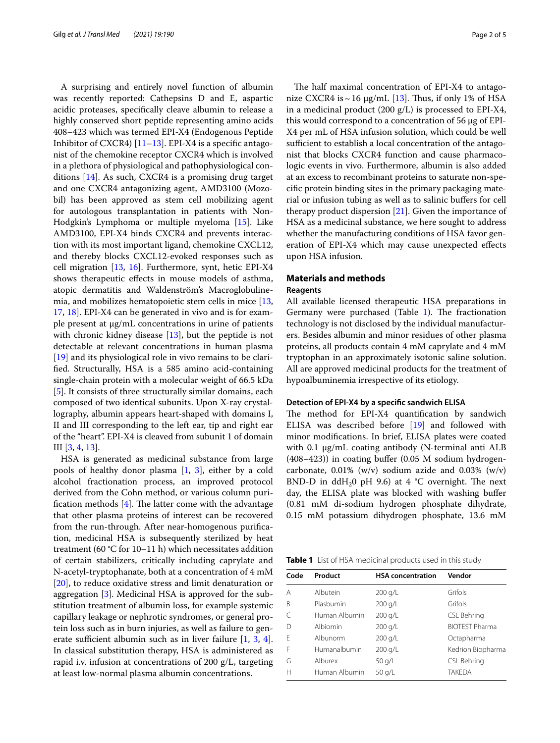A surprising and entirely novel function of albumin was recently reported: Cathepsins D and E, aspartic acidic proteases, specifcally cleave albumin to release a highly conserved short peptide representing amino acids 408–423 which was termed EPI-X4 (Endogenous Peptide Inhibitor of CXCR4) [[11–](#page-3-8)[13\]](#page-3-9). EPI-X4 is a specifc antagonist of the chemokine receptor CXCR4 which is involved in a plethora of physiological and pathophysiological conditions [\[14](#page-3-10)]. As such, CXCR4 is a promising drug target and one CXCR4 antagonizing agent, AMD3100 (Mozobil) has been approved as stem cell mobilizing agent for autologous transplantation in patients with Non-Hodgkin's Lymphoma or multiple myeloma [[15\]](#page-4-0). Like AMD3100, EPI-X4 binds CXCR4 and prevents interaction with its most important ligand, chemokine CXCL12, and thereby blocks CXCL12-evoked responses such as cell migration [\[13](#page-3-9), [16\]](#page-4-1). Furthermore, synt, hetic EPI-X4 shows therapeutic efects in mouse models of asthma, atopic dermatitis and Waldenström's Macroglobulinemia, and mobilizes hematopoietic stem cells in mice [\[13](#page-3-9), [17,](#page-4-2) [18](#page-4-3)]. EPI-X4 can be generated in vivo and is for example present at µg/mL concentrations in urine of patients with chronic kidney disease [[13\]](#page-3-9), but the peptide is not detectable at relevant concentrations in human plasma [[19\]](#page-4-4) and its physiological role in vivo remains to be clarifed. Structurally, HSA is a 585 amino acid-containing single-chain protein with a molecular weight of 66.5 kDa [[5\]](#page-3-4). It consists of three structurally similar domains, each composed of two identical subunits. Upon X-ray crystallography, albumin appears heart-shaped with domains I, II and III corresponding to the left ear, tip and right ear of the "heart". EPI-X4 is cleaved from subunit 1 of domain III [\[3](#page-3-2), [4,](#page-3-1) [13\]](#page-3-9).

HSA is generated as medicinal substance from large pools of healthy donor plasma [[1,](#page-3-0) [3](#page-3-2)], either by a cold alcohol fractionation process, an improved protocol derived from the Cohn method, or various column purification methods  $[4]$  $[4]$ . The latter come with the advantage that other plasma proteins of interest can be recovered from the run-through. After near-homogenous purifcation, medicinal HSA is subsequently sterilized by heat treatment (60 °C for 10–11 h) which necessitates addition of certain stabilizers, critically including caprylate and N-acetyl-tryptophanate, both at a concentration of 4 mM [[20\]](#page-4-5), to reduce oxidative stress and limit denaturation or aggregation [[3\]](#page-3-2). Medicinal HSA is approved for the substitution treatment of albumin loss, for example systemic capillary leakage or nephrotic syndromes, or general protein loss such as in burn injuries, as well as failure to generate sufficient albumin such as in liver failure  $[1, 3, 4]$  $[1, 3, 4]$  $[1, 3, 4]$  $[1, 3, 4]$  $[1, 3, 4]$  $[1, 3, 4]$  $[1, 3, 4]$ . In classical substitution therapy, HSA is administered as rapid i.v. infusion at concentrations of 200 g/L, targeting at least low-normal plasma albumin concentrations.

The half maximal concentration of EPI-X4 to antagonize CXCR4 is  $\sim$  16 µg/mL [\[13](#page-3-9)]. Thus, if only 1% of HSA in a medicinal product (200 g/L) is processed to EPI-X4, this would correspond to a concentration of 56 µg of EPI-X4 per mL of HSA infusion solution, which could be well sufficient to establish a local concentration of the antagonist that blocks CXCR4 function and cause pharmacologic events in vivo. Furthermore, albumin is also added at an excess to recombinant proteins to saturate non-specifc protein binding sites in the primary packaging material or infusion tubing as well as to salinic bufers for cell therapy product dispersion  $[21]$ . Given the importance of HSA as a medicinal substance, we here sought to address whether the manufacturing conditions of HSA favor generation of EPI-X4 which may cause unexpected efects upon HSA infusion.

## **Materials and methods**

### **Reagents**

All available licensed therapeutic HSA preparations in Germany were purchased (Table  $1$ ). The fractionation technology is not disclosed by the individual manufacturers. Besides albumin and minor residues of other plasma proteins, all products contain 4 mM caprylate and 4 mM tryptophan in an approximately isotonic saline solution. All are approved medicinal products for the treatment of hypoalbuminemia irrespective of its etiology.

#### **Detection of EPI‑X4 by a specifc sandwich ELISA**

The method for EPI-X4 quantification by sandwich ELISA was described before [\[19](#page-4-4)] and followed with minor modifcations. In brief, ELISA plates were coated with 0.1  $\mu$ g/mL coating antibody (N-terminal anti ALB (408–423)) in coating bufer (0.05 M sodium hydrogencarbonate,  $0.01\%$  (w/v) sodium azide and  $0.03\%$  (w/v) BND-D in ddH<sub>2</sub>0 pH 9.6) at 4  $^{\circ}$ C overnight. The next day, the ELISA plate was blocked with washing bufer (0.81 mM di-sodium hydrogen phosphate dihydrate, 0.15 mM potassium dihydrogen phosphate, 13.6 mM

<span id="page-1-0"></span>**Table 1** List of HSA medicinal products used in this study

| Code         | Product       | <b>HSA</b> concentration | Vendor                |
|--------------|---------------|--------------------------|-----------------------|
| A            | Albutein      | 200 g/L                  | Grifols               |
| B            | Plasbumin     | 200 g/L                  | Grifols               |
| $\subset$    | Human Albumin | 200 g/L                  | CSL Behring           |
| $\mathsf{D}$ | Albiomin      | 200 g/L                  | <b>BIOTEST Pharma</b> |
| F            | Albunorm      | 200 g/L                  | Octapharma            |
| F            | Humanalbumin  | 200 g/L                  | Kedrion Biopharma     |
| G            | Alburex       | 50 g/L                   | CSL Behring           |
| H            | Human Albumin | 50 g/L                   | <b>TAKEDA</b>         |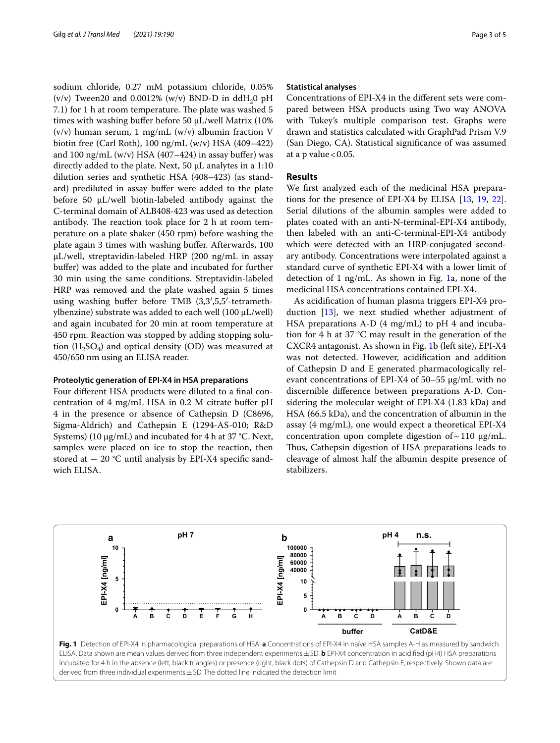sodium chloride, 0.27 mM potassium chloride, 0.05% (v/v) Tween20 and 0.0012% (w/v) BND-D in ddH<sub>2</sub>0 pH 7.1) for 1 h at room temperature. The plate was washed 5 times with washing buffer before 50 µL/well Matrix (10%)  $(v/v)$  human serum, 1 mg/mL  $(w/v)$  albumin fraction V biotin free (Carl Roth), 100 ng/mL (w/v) HSA (409–422) and 100 ng/mL  $(w/v)$  HSA (407–424) in assay buffer) was directly added to the plate. Next, 50 µL analytes in a 1:10 dilution series and synthetic HSA (408–423) (as standard) prediluted in assay buffer were added to the plate before 50 µL/well biotin-labeled antibody against the C-terminal domain of ALB408-423 was used as detection antibody. The reaction took place for 2 h at room temperature on a plate shaker (450 rpm) before washing the plate again 3 times with washing bufer. Afterwards, 100 µL/well, streptavidin-labeled HRP (200 ng/mL in assay buffer) was added to the plate and incubated for further 30 min using the same conditions. Streptavidin-labeled HRP was removed and the plate washed again 5 times using washing bufer before TMB (3,3′,5,5′-tetramethylbenzine) substrate was added to each well (100 µL/well) and again incubated for 20 min at room temperature at 450 rpm. Reaction was stopped by adding stopping solution  $(H_2SO_4)$  and optical density (OD) was measured at 450/650 nm using an ELISA reader.

## **Proteolytic generation of EPI‑X4 in HSA preparations**

Four diferent HSA products were diluted to a fnal concentration of 4 mg/mL HSA in 0.2 M citrate bufer pH 4 in the presence or absence of Cathepsin D (C8696, Sigma-Aldrich) and Cathepsin E (1294-AS-010; R&D Systems) (10 µg/mL) and incubated for 4 h at 37 °C. Next, samples were placed on ice to stop the reaction, then stored at  $-20$  °C until analysis by EPI-X4 specific sandwich ELISA.

#### **Statistical analyses**

Concentrations of EPI-X4 in the diferent sets were compared between HSA products using Two way ANOVA with Tukey's multiple comparison test. Graphs were drawn and statistics calculated with GraphPad Prism V.9 (San Diego, CA). Statistical signifcance of was assumed at a p value  $< 0.05$ .

#### **Results**

We frst analyzed each of the medicinal HSA preparations for the presence of EPI-X4 by ELISA [[13,](#page-3-9) [19](#page-4-4), [22](#page-4-7)]. Serial dilutions of the albumin samples were added to plates coated with an anti-N-terminal-EPI-X4 antibody, then labeled with an anti-C-terminal-EPI-X4 antibody which were detected with an HRP-conjugated secondary antibody. Concentrations were interpolated against a standard curve of synthetic EPI-X4 with a lower limit of detection of 1 ng/mL. As shown in Fig. [1a](#page-2-0), none of the medicinal HSA concentrations contained EPI-X4.

As acidifcation of human plasma triggers EPI-X4 production [[13\]](#page-3-9), we next studied whether adjustment of HSA preparations A-D (4 mg/mL) to pH 4 and incubation for 4 h at 37 °C may result in the generation of the CXCR4 antagonist. As shown in Fig. [1b](#page-2-0) (left site), EPI-X4 was not detected. However, acidifcation and addition of Cathepsin D and E generated pharmacologically relevant concentrations of EPI-X4 of 50–55 µg/mL with no discernible diference between preparations A-D. Considering the molecular weight of EPI-X4 (1.83 kDa) and HSA (66.5 kDa), and the concentration of albumin in the assay (4 mg/mL), one would expect a theoretical EPI-X4 concentration upon complete digestion of  $\sim$  110  $\mu$ g/mL. Thus, Cathepsin digestion of HSA preparations leads to cleavage of almost half the albumin despite presence of stabilizers.



<span id="page-2-0"></span>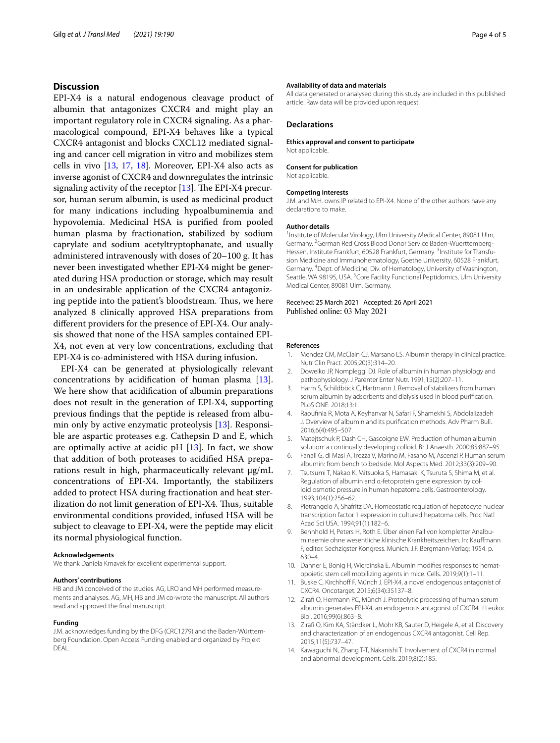## **Discussion**

EPI-X4 is a natural endogenous cleavage product of albumin that antagonizes CXCR4 and might play an important regulatory role in CXCR4 signaling. As a pharmacological compound, EPI-X4 behaves like a typical CXCR4 antagonist and blocks CXCL12 mediated signaling and cancer cell migration in vitro and mobilizes stem cells in vivo [[13](#page-3-9), [17](#page-4-2), [18\]](#page-4-3). Moreover, EPI-X4 also acts as inverse agonist of CXCR4 and downregulates the intrinsic signaling activity of the receptor  $[13]$  $[13]$ . The EPI-X4 precursor, human serum albumin, is used as medicinal product for many indications including hypoalbuminemia and hypovolemia. Medicinal HSA is purifed from pooled human plasma by fractionation, stabilized by sodium caprylate and sodium acetyltryptophanate, and usually administered intravenously with doses of 20–100 g. It has never been investigated whether EPI-X4 might be generated during HSA production or storage, which may result in an undesirable application of the CXCR4 antagonizing peptide into the patient's bloodstream. Thus, we here analyzed 8 clinically approved HSA preparations from diferent providers for the presence of EPI-X4. Our analysis showed that none of the HSA samples contained EPI-X4, not even at very low concentrations, excluding that EPI-X4 is co-administered with HSA during infusion.

EPI-X4 can be generated at physiologically relevant concentrations by acidifcation of human plasma [\[13](#page-3-9)]. We here show that acidifcation of albumin preparations does not result in the generation of EPI-X4, supporting previous fndings that the peptide is released from albumin only by active enzymatic proteolysis [[13\]](#page-3-9). Responsible are aspartic proteases e.g. Cathepsin D and E, which are optimally active at acidic pH  $[13]$  $[13]$ . In fact, we show that addition of both proteases to acidifed HSA preparations result in high, pharmaceutically relevant µg/mL concentrations of EPI-X4. Importantly, the stabilizers added to protect HSA during fractionation and heat sterilization do not limit generation of EPI-X4. Thus, suitable environmental conditions provided, infused HSA will be subject to cleavage to EPI-X4, were the peptide may elicit its normal physiological function.

#### **Acknowledgements**

We thank Daniela Krnavek for excellent experimental support.

#### **Authors' contributions**

HB and JM conceived of the studies. AG, LRO and MH performed measurements and analyses. AG, MH, HB and JM co-wrote the manuscript. All authors read and approved the fnal manuscript.

#### **Funding**

J.M. acknowledges funding by the DFG (CRC1279) and the Baden-Württemberg Foundation. Open Access Funding enabled and organized by Projekt **DEAL** 

#### **Availability of data and materials**

All data generated or analysed during this study are included in this published article. Raw data will be provided upon request.

#### **Declarations**

**Ethics approval and consent to participate** Not applicable.

#### **Consent for publication**

Not applicable.

#### **Competing interests**

J.M. and M.H. owns IP related to EPI-X4. None of the other authors have any declarations to make.

#### **Author details**

<sup>1</sup> Institute of Molecular Virology, Ulm University Medical Center, 89081 Ulm, Germany. <sup>2</sup> German Red Cross Blood Donor Service Baden-Wuerttemberg-Hessen, Institute Frankfurt, 60528 Frankfurt, Germany. <sup>3</sup>Institute for Transfusion Medicine and Immunohematology, Goethe University, 60528 Frankfurt, Germany. 4 Dept. of Medicine, Div. of Hematology, University of Washington, Seattle, WA 98195, USA.<sup>5</sup> Core Facility Functional Peptidomics, Ulm University Medical Center, 89081 Ulm, Germany.

#### Received: 25 March 2021 Accepted: 26 April 2021 Published online: 03 May 2021

#### **References**

- <span id="page-3-0"></span>1. Mendez CM, McClain CJ, Marsano LS. Albumin therapy in clinical practice. Nutr Clin Pract. 2005;20(3):314–20.
- <span id="page-3-3"></span>2. Doweiko JP, Nompleggi DJ. Role of albumin in human physiology and pathophysiology. J Parenter Enter Nutr. 1991;15(2):207–11.
- <span id="page-3-2"></span>3. Harm S, Schildböck C, Hartmann J. Removal of stabilizers from human serum albumin by adsorbents and dialysis used in blood purifcation. PLoS ONE. 2018;13:1.
- <span id="page-3-1"></span>4. Raoufnia R, Mota A, Keyhanvar N, Safari F, Shamekhi S, Abdolalizadeh J. Overview of albumin and its purifcation methods. Adv Pharm Bull. 2016;6(4):495–507.
- <span id="page-3-4"></span>5. Matejtschuk P, Dash CH, Gascoigne EW. Production of human albumin solution: a continually developing colloid. Br J Anaesth. 2000;85:887–95.
- 6. Fanali G, di Masi A, Trezza V, Marino M, Fasano M, Ascenzi P. Human serum albumin: from bench to bedside. Mol Aspects Med. 2012;33(3):209–90.
- 7. Tsutsumi T, Nakao K, Mitsuoka S, Hamasaki K, Tsuruta S, Shima M, et al. Regulation of albumin and α-fetoprotein gene expression by colloid osmotic pressure in human hepatoma cells. Gastroenterology. 1993;104(1):256–62.
- <span id="page-3-5"></span>8. Pietrangelo A, Shafritz DA. Homeostatic regulation of hepatocyte nuclear transcription factor 1 expression in cultured hepatoma cells. Proc Natl Acad Sci USA. 1994;91(1):182–6.
- <span id="page-3-6"></span>9. Bennhold H, Peters H, Roth E. Über einen Fall von kompletter Analbuminaemie ohne wesentliche klinische Krankheitszeichen. In: Kaufmann F, editor. Sechzigster Kongress. Munich: J.F. Bergmann-Verlag; 1954. p. 630–4.
- <span id="page-3-7"></span>10. Danner E, Bonig H, Wiercinska E. Albumin modifies responses to hematopoietic stem cell mobilizing agents in mice. Cells. 2019;9(1):1–11.
- <span id="page-3-8"></span>11. Buske C, Kirchhoff F, Münch J. EPI-X4, a novel endogenous antagonist of CXCR4. Oncotarget. 2015;6(34):35137–8.
- 12. Ziraf O, Hermann PC, Münch J. Proteolytic processing of human serum albumin generates EPI-X4, an endogenous antagonist of CXCR4. J Leukoc Biol. 2016;99(6):863–8.
- <span id="page-3-9"></span>13. Ziraf O, Kim KA, Ständker L, Mohr KB, Sauter D, Heigele A, et al. Discovery and characterization of an endogenous CXCR4 antagonist. Cell Rep. 2015;11(5):737–47.
- <span id="page-3-10"></span>14. Kawaguchi N, Zhang T-T, Nakanishi T. Involvement of CXCR4 in normal and abnormal development. Cells. 2019;8(2):185.